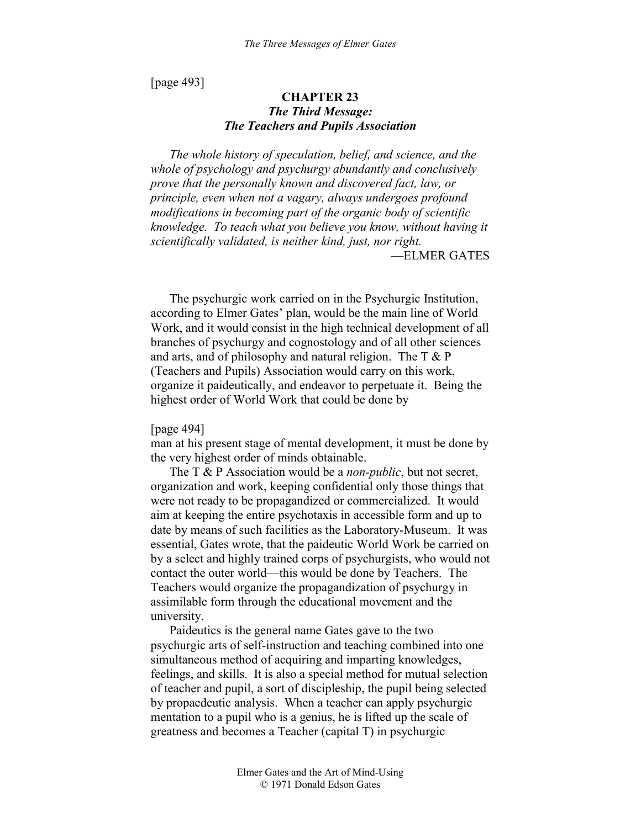[page 493]

# **CHAPTER 23**  *The Third Message: The Teachers and Pupils Association*

*The whole history of speculation, belief, and science, and the whole of psychology and psychurgy abundantly and conclusively prove that the personally known and discovered fact, law, or principle, even when not a vagary, always undergoes profound modifications in becoming part of the organic body of scientific knowledge. To teach what you believe you know, without having it scientifically validated, is neither kind, just, nor right.*  —ELMER GATES

The psychurgic work carried on in the Psychurgic Institution, according to Elmer Gates' plan, would be the main line of World Work, and it would consist in the high technical development of all branches of psychurgy and cognostology and of all other sciences and arts, and of philosophy and natural religion. The  $T \& P$ (Teachers and Pupils) Association would carry on this work, organize it paideutically, and endeavor to perpetuate it. Being the highest order of World Work that could be done by

[page 494]

man at his present stage of mental development, it must be done by the very highest order of minds obtainable.

The T & P Association would be a *non-public*, but not secret, organization and work, keeping confidential only those things that were not ready to be propagandized or commercialized. It would aim at keeping the entire psychotaxis in accessible form and up to date by means of such facilities as the Laboratory-Museum. It was essential, Gates wrote, that the paideutic World Work be carried on by a select and highly trained corps of psychurgists, who would not contact the outer world—this would be done by Teachers. The Teachers would organize the propagandization of psychurgy in assimilable form through the educational movement and the university.

Paideutics is the general name Gates gave to the two psychurgic arts of self-instruction and teaching combined into one simultaneous method of acquiring and imparting knowledges, feelings, and skills. It is also a special method for mutual selection of teacher and pupil, a sort of discipleship, the pupil being selected by propaedeutic analysis. When a teacher can apply psychurgic mentation to a pupil who is a genius, he is lifted up the scale of greatness and becomes a Teacher (capital T) in psychurgic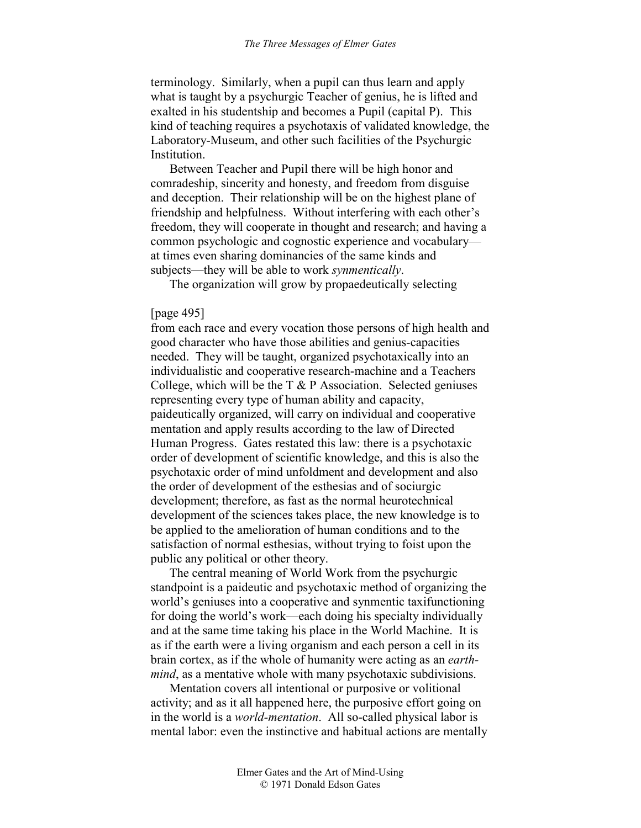terminology. Similarly, when a pupil can thus learn and apply what is taught by a psychurgic Teacher of genius, he is lifted and exalted in his studentship and becomes a Pupil (capital P). This kind of teaching requires a psychotaxis of validated knowledge, the Laboratory-Museum, and other such facilities of the Psychurgic Institution.

Between Teacher and Pupil there will be high honor and comradeship, sincerity and honesty, and freedom from disguise and deception. Their relationship will be on the highest plane of friendship and helpfulness. Without interfering with each other's freedom, they will cooperate in thought and research; and having a common psychologic and cognostic experience and vocabulary at times even sharing dominancies of the same kinds and subjects—they will be able to work *synmentically*.

The organization will grow by propaedeutically selecting

#### [page 495]

from each race and every vocation those persons of high health and good character who have those abilities and genius-capacities needed. They will be taught, organized psychotaxically into an individualistic and cooperative research-machine and a Teachers College, which will be the  $T \& P$  Association. Selected geniuses representing every type of human ability and capacity, paideutically organized, will carry on individual and cooperative mentation and apply results according to the law of Directed Human Progress. Gates restated this law: there is a psychotaxic order of development of scientific knowledge, and this is also the psychotaxic order of mind unfoldment and development and also the order of development of the esthesias and of sociurgic development; therefore, as fast as the normal heurotechnical development of the sciences takes place, the new knowledge is to be applied to the amelioration of human conditions and to the satisfaction of normal esthesias, without trying to foist upon the public any political or other theory.

The central meaning of World Work from the psychurgic standpoint is a paideutic and psychotaxic method of organizing the world's geniuses into a cooperative and synmentic taxifunctioning for doing the world's work—each doing his specialty individually and at the same time taking his place in the World Machine. It is as if the earth were a living organism and each person a cell in its brain cortex, as if the whole of humanity were acting as an *earthmind*, as a mentative whole with many psychotaxic subdivisions.

Mentation covers all intentional or purposive or volitional activity; and as it all happened here, the purposive effort going on in the world is a *world-mentation*. All so-called physical labor is mental labor: even the instinctive and habitual actions are mentally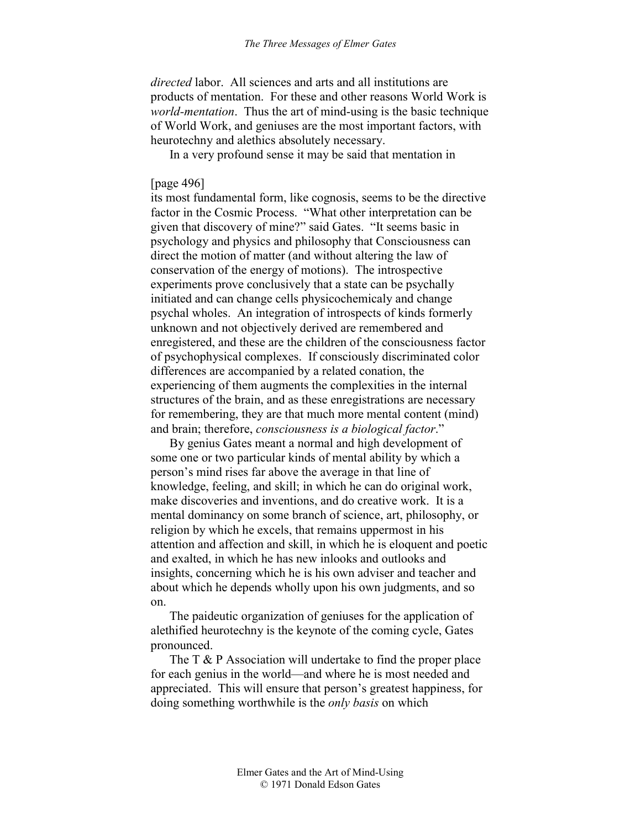*directed* labor. All sciences and arts and all institutions are products of mentation. For these and other reasons World Work is *world-mentation*. Thus the art of mind-using is the basic technique of World Work, and geniuses are the most important factors, with heurotechny and alethics absolutely necessary.

In a very profound sense it may be said that mentation in

## [page 496]

its most fundamental form, like cognosis, seems to be the directive factor in the Cosmic Process. "What other interpretation can be given that discovery of mine?" said Gates. "It seems basic in psychology and physics and philosophy that Consciousness can direct the motion of matter (and without altering the law of conservation of the energy of motions). The introspective experiments prove conclusively that a state can be psychally initiated and can change cells physicochemicaly and change psychal wholes. An integration of introspects of kinds formerly unknown and not objectively derived are remembered and enregistered, and these are the children of the consciousness factor of psychophysical complexes. If consciously discriminated color differences are accompanied by a related conation, the experiencing of them augments the complexities in the internal structures of the brain, and as these enregistrations are necessary for remembering, they are that much more mental content (mind) and brain; therefore, *consciousness is a biological factor*."

By genius Gates meant a normal and high development of some one or two particular kinds of mental ability by which a person's mind rises far above the average in that line of knowledge, feeling, and skill; in which he can do original work, make discoveries and inventions, and do creative work. It is a mental dominancy on some branch of science, art, philosophy, or religion by which he excels, that remains uppermost in his attention and affection and skill, in which he is eloquent and poetic and exalted, in which he has new inlooks and outlooks and insights, concerning which he is his own adviser and teacher and about which he depends wholly upon his own judgments, and so on.

The paideutic organization of geniuses for the application of alethified heurotechny is the keynote of the coming cycle, Gates pronounced.

The T & P Association will undertake to find the proper place for each genius in the world—and where he is most needed and appreciated. This will ensure that person's greatest happiness, for doing something worthwhile is the *only basis* on which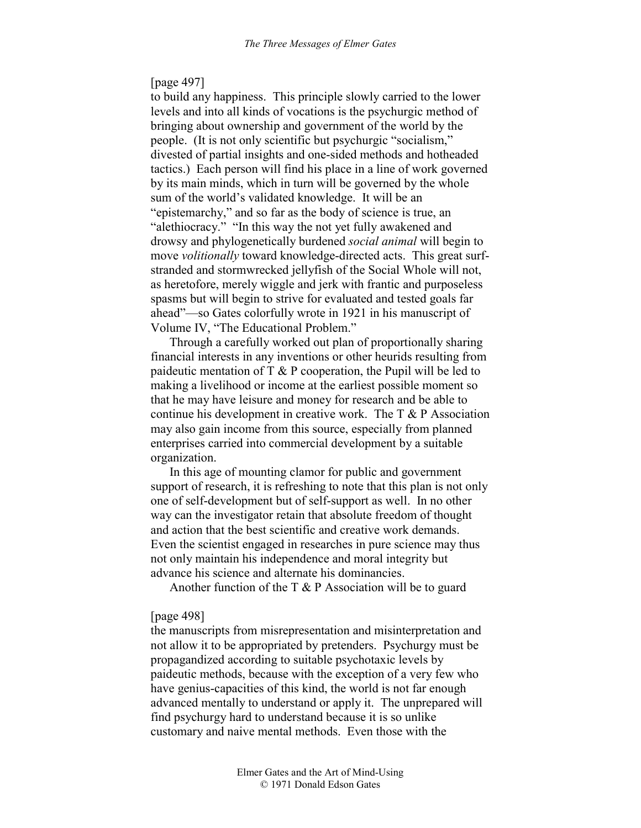## [page 497]

to build any happiness. This principle slowly carried to the lower levels and into all kinds of vocations is the psychurgic method of bringing about ownership and government of the world by the people. (It is not only scientific but psychurgic "socialism," divested of partial insights and one-sided methods and hotheaded tactics.) Each person will find his place in a line of work governed by its main minds, which in turn will be governed by the whole sum of the world's validated knowledge. It will be an "epistemarchy," and so far as the body of science is true, an "alethiocracy." "In this way the not yet fully awakened and drowsy and phylogenetically burdened *social animal* will begin to move *volitionally* toward knowledge-directed acts. This great surfstranded and stormwrecked jellyfish of the Social Whole will not, as heretofore, merely wiggle and jerk with frantic and purposeless spasms but will begin to strive for evaluated and tested goals far ahead"—so Gates colorfully wrote in 1921 in his manuscript of Volume IV, "The Educational Problem."

Through a carefully worked out plan of proportionally sharing financial interests in any inventions or other heurids resulting from paideutic mentation of  $T \& P$  cooperation, the Pupil will be led to making a livelihood or income at the earliest possible moment so that he may have leisure and money for research and be able to continue his development in creative work. The T & P Association may also gain income from this source, especially from planned enterprises carried into commercial development by a suitable organization.

In this age of mounting clamor for public and government support of research, it is refreshing to note that this plan is not only one of self-development but of self-support as well. In no other way can the investigator retain that absolute freedom of thought and action that the best scientific and creative work demands. Even the scientist engaged in researches in pure science may thus not only maintain his independence and moral integrity but advance his science and alternate his dominancies.

Another function of the  $T \& P$  Association will be to guard

### [page 498]

the manuscripts from misrepresentation and misinterpretation and not allow it to be appropriated by pretenders. Psychurgy must be propagandized according to suitable psychotaxic levels by paideutic methods, because with the exception of a very few who have genius-capacities of this kind, the world is not far enough advanced mentally to understand or apply it. The unprepared will find psychurgy hard to understand because it is so unlike customary and naive mental methods. Even those with the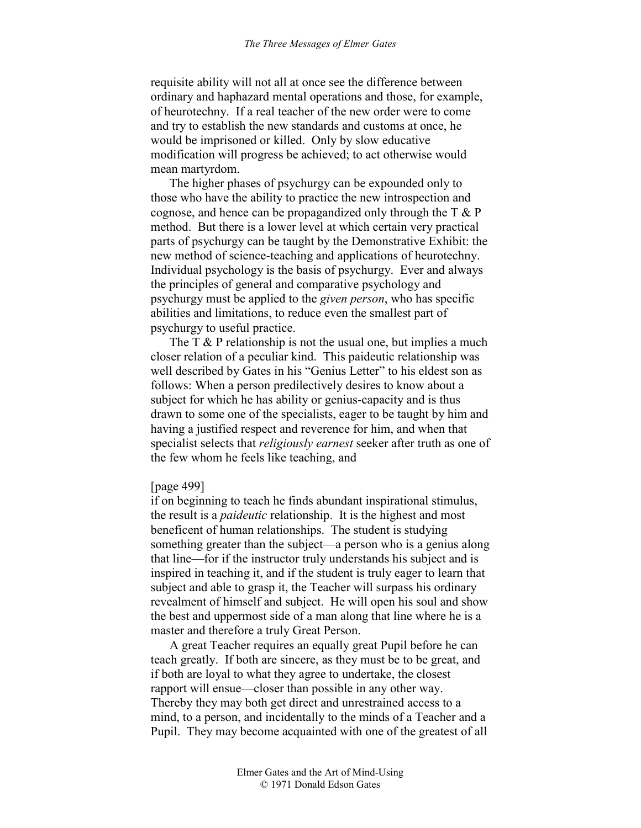requisite ability will not all at once see the difference between ordinary and haphazard mental operations and those, for example, of heurotechny. If a real teacher of the new order were to come and try to establish the new standards and customs at once, he would be imprisoned or killed. Only by slow educative modification will progress be achieved; to act otherwise would mean martyrdom.

The higher phases of psychurgy can be expounded only to those who have the ability to practice the new introspection and cognose, and hence can be propagandized only through the T & P method. But there is a lower level at which certain very practical parts of psychurgy can be taught by the Demonstrative Exhibit: the new method of science-teaching and applications of heurotechny. Individual psychology is the basis of psychurgy. Ever and always the principles of general and comparative psychology and psychurgy must be applied to the *given person*, who has specific abilities and limitations, to reduce even the smallest part of psychurgy to useful practice.

The  $T \& P$  relationship is not the usual one, but implies a much closer relation of a peculiar kind. This paideutic relationship was well described by Gates in his "Genius Letter" to his eldest son as follows: When a person predilectively desires to know about a subject for which he has ability or genius-capacity and is thus drawn to some one of the specialists, eager to be taught by him and having a justified respect and reverence for him, and when that specialist selects that *religiously earnest* seeker after truth as one of the few whom he feels like teaching, and

#### [page 499]

if on beginning to teach he finds abundant inspirational stimulus, the result is a *paideutic* relationship. It is the highest and most beneficent of human relationships. The student is studying something greater than the subject—a person who is a genius along that line—for if the instructor truly understands his subject and is inspired in teaching it, and if the student is truly eager to learn that subject and able to grasp it, the Teacher will surpass his ordinary revealment of himself and subject. He will open his soul and show the best and uppermost side of a man along that line where he is a master and therefore a truly Great Person.

A great Teacher requires an equally great Pupil before he can teach greatly. If both are sincere, as they must be to be great, and if both are loyal to what they agree to undertake, the closest rapport will ensue—closer than possible in any other way. Thereby they may both get direct and unrestrained access to a mind, to a person, and incidentally to the minds of a Teacher and a Pupil. They may become acquainted with one of the greatest of all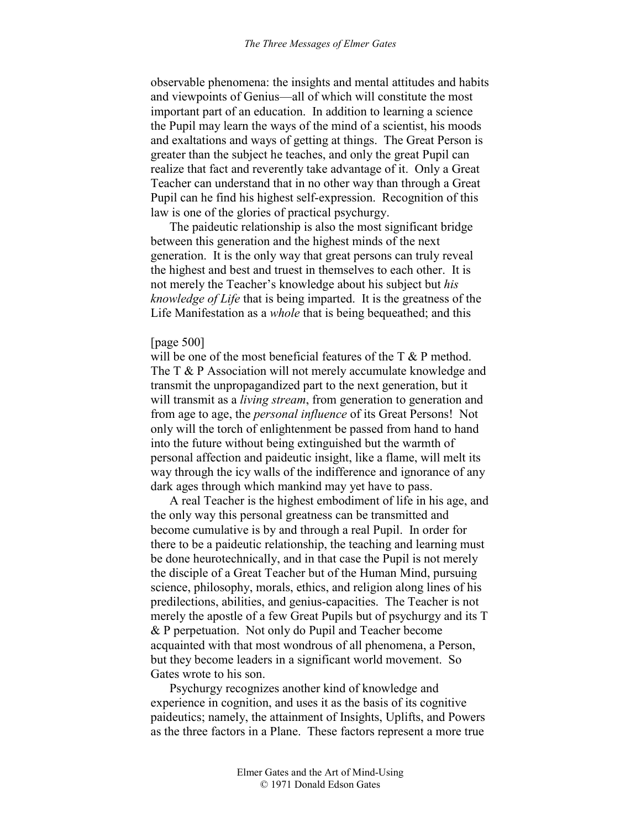observable phenomena: the insights and mental attitudes and habits and viewpoints of Genius—all of which will constitute the most important part of an education. In addition to learning a science the Pupil may learn the ways of the mind of a scientist, his moods and exaltations and ways of getting at things. The Great Person is greater than the subject he teaches, and only the great Pupil can realize that fact and reverently take advantage of it. Only a Great Teacher can understand that in no other way than through a Great Pupil can he find his highest self-expression. Recognition of this law is one of the glories of practical psychurgy.

The paideutic relationship is also the most significant bridge between this generation and the highest minds of the next generation. It is the only way that great persons can truly reveal the highest and best and truest in themselves to each other. It is not merely the Teacher's knowledge about his subject but *his knowledge of Life* that is being imparted. It is the greatness of the Life Manifestation as a *whole* that is being bequeathed; and this

### [page 500]

will be one of the most beneficial features of the T & P method. The T & P Association will not merely accumulate knowledge and transmit the unpropagandized part to the next generation, but it will transmit as a *living stream*, from generation to generation and from age to age, the *personal influence* of its Great Persons! Not only will the torch of enlightenment be passed from hand to hand into the future without being extinguished but the warmth of personal affection and paideutic insight, like a flame, will melt its way through the icy walls of the indifference and ignorance of any dark ages through which mankind may yet have to pass.

A real Teacher is the highest embodiment of life in his age, and the only way this personal greatness can be transmitted and become cumulative is by and through a real Pupil. In order for there to be a paideutic relationship, the teaching and learning must be done heurotechnically, and in that case the Pupil is not merely the disciple of a Great Teacher but of the Human Mind, pursuing science, philosophy, morals, ethics, and religion along lines of his predilections, abilities, and genius-capacities. The Teacher is not merely the apostle of a few Great Pupils but of psychurgy and its T & P perpetuation. Not only do Pupil and Teacher become acquainted with that most wondrous of all phenomena, a Person, but they become leaders in a significant world movement. So Gates wrote to his son.

Psychurgy recognizes another kind of knowledge and experience in cognition, and uses it as the basis of its cognitive paideutics; namely, the attainment of Insights, Uplifts, and Powers as the three factors in a Plane. These factors represent a more true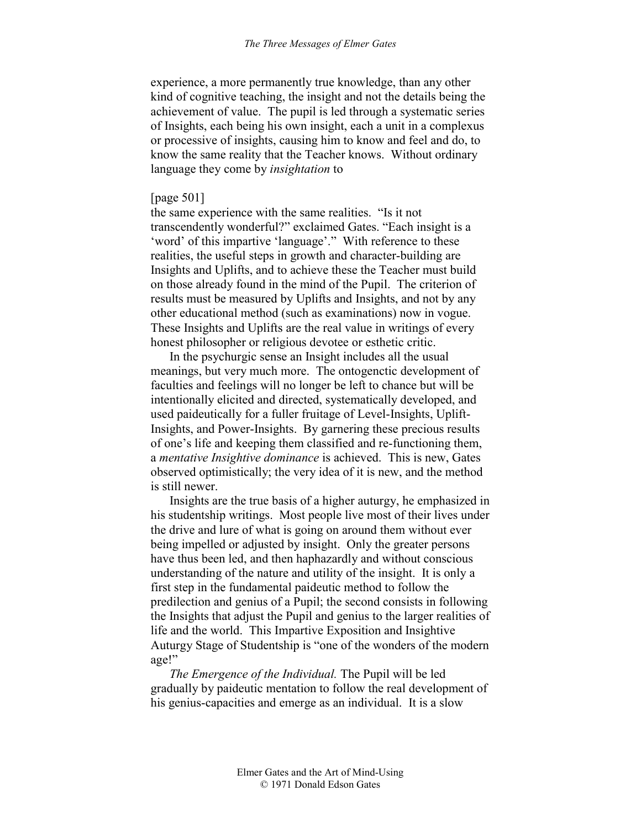experience, a more permanently true knowledge, than any other kind of cognitive teaching, the insight and not the details being the achievement of value. The pupil is led through a systematic series of Insights, each being his own insight, each a unit in a complexus or processive of insights, causing him to know and feel and do, to know the same reality that the Teacher knows. Without ordinary language they come by *insightation* to

## [page 501]

the same experience with the same realities. "Is it not transcendently wonderful?" exclaimed Gates. "Each insight is a 'word' of this impartive 'language'." With reference to these realities, the useful steps in growth and character-building are Insights and Uplifts, and to achieve these the Teacher must build on those already found in the mind of the Pupil. The criterion of results must be measured by Uplifts and Insights, and not by any other educational method (such as examinations) now in vogue. These Insights and Uplifts are the real value in writings of every honest philosopher or religious devotee or esthetic critic.

In the psychurgic sense an Insight includes all the usual meanings, but very much more. The ontogenctic development of faculties and feelings will no longer be left to chance but will be intentionally elicited and directed, systematically developed, and used paideutically for a fuller fruitage of Level-Insights, Uplift-Insights, and Power-Insights. By garnering these precious results of one's life and keeping them classified and re-functioning them, a *mentative Insightive dominance* is achieved. This is new, Gates observed optimistically; the very idea of it is new, and the method is still newer.

Insights are the true basis of a higher auturgy, he emphasized in his studentship writings. Most people live most of their lives under the drive and lure of what is going on around them without ever being impelled or adjusted by insight. Only the greater persons have thus been led, and then haphazardly and without conscious understanding of the nature and utility of the insight. It is only a first step in the fundamental paideutic method to follow the predilection and genius of a Pupil; the second consists in following the Insights that adjust the Pupil and genius to the larger realities of life and the world. This Impartive Exposition and Insightive Auturgy Stage of Studentship is "one of the wonders of the modern age!"

*The Emergence of the Individual.* The Pupil will be led gradually by paideutic mentation to follow the real development of his genius-capacities and emerge as an individual. It is a slow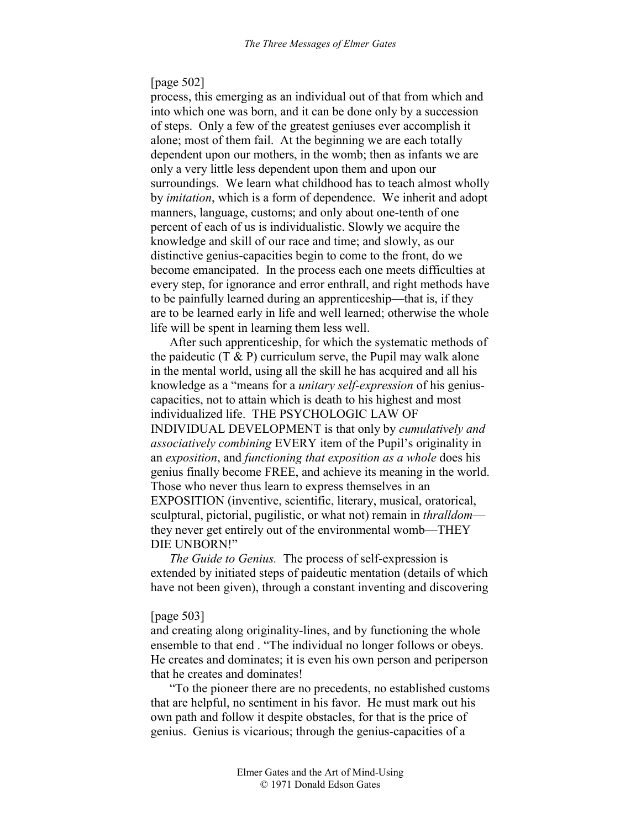## [page 502]

process, this emerging as an individual out of that from which and into which one was born, and it can be done only by a succession of steps. Only a few of the greatest geniuses ever accomplish it alone; most of them fail. At the beginning we are each totally dependent upon our mothers, in the womb; then as infants we are only a very little less dependent upon them and upon our surroundings. We learn what childhood has to teach almost wholly by *imitation*, which is a form of dependence. We inherit and adopt manners, language, customs; and only about one-tenth of one percent of each of us is individualistic. Slowly we acquire the knowledge and skill of our race and time; and slowly, as our distinctive genius-capacities begin to come to the front, do we become emancipated. In the process each one meets difficulties at every step, for ignorance and error enthrall, and right methods have to be painfully learned during an apprenticeship—that is, if they are to be learned early in life and well learned; otherwise the whole life will be spent in learning them less well.

After such apprenticeship, for which the systematic methods of the paideutic  $(T \& P)$  curriculum serve, the Pupil may walk alone in the mental world, using all the skill he has acquired and all his knowledge as a "means for a *unitary self-expression* of his geniuscapacities, not to attain which is death to his highest and most individualized life. THE PSYCHOLOGIC LAW OF INDIVIDUAL DEVELOPMENT is that only by *cumulatively and associatively combining* EVERY item of the Pupil's originality in an *exposition*, and *functioning that exposition as a whole* does his genius finally become FREE, and achieve its meaning in the world. Those who never thus learn to express themselves in an EXPOSITION (inventive, scientific, literary, musical, oratorical, sculptural, pictorial, pugilistic, or what not) remain in *thralldom* they never get entirely out of the environmental womb—THEY DIE UNBORN!"

*The Guide to Genius.* The process of self-expression is extended by initiated steps of paideutic mentation (details of which have not been given), through a constant inventing and discovering

#### [page 503]

and creating along originality-lines, and by functioning the whole ensemble to that end . "The individual no longer follows or obeys. He creates and dominates; it is even his own person and periperson that he creates and dominates!

"To the pioneer there are no precedents, no established customs that are helpful, no sentiment in his favor. He must mark out his own path and follow it despite obstacles, for that is the price of genius. Genius is vicarious; through the genius-capacities of a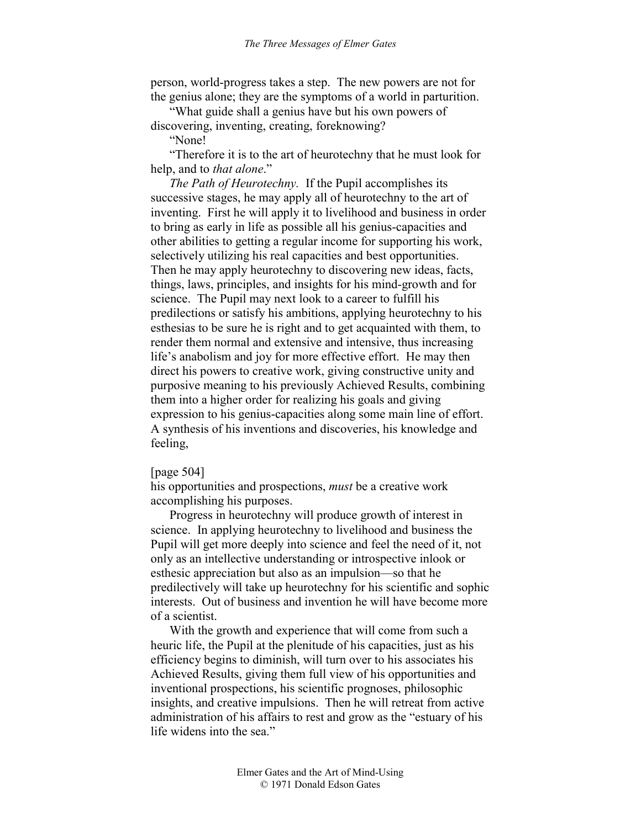person, world-progress takes a step. The new powers are not for the genius alone; they are the symptoms of a world in parturition.

"What guide shall a genius have but his own powers of discovering, inventing, creating, foreknowing?

"None!

"Therefore it is to the art of heurotechny that he must look for help, and to *that alone*."

*The Path of Heurotechny.* If the Pupil accomplishes its successive stages, he may apply all of heurotechny to the art of inventing. First he will apply it to livelihood and business in order to bring as early in life as possible all his genius-capacities and other abilities to getting a regular income for supporting his work, selectively utilizing his real capacities and best opportunities. Then he may apply heurotechny to discovering new ideas, facts, things, laws, principles, and insights for his mind-growth and for science. The Pupil may next look to a career to fulfill his predilections or satisfy his ambitions, applying heurotechny to his esthesias to be sure he is right and to get acquainted with them, to render them normal and extensive and intensive, thus increasing life's anabolism and joy for more effective effort. He may then direct his powers to creative work, giving constructive unity and purposive meaning to his previously Achieved Results, combining them into a higher order for realizing his goals and giving expression to his genius-capacities along some main line of effort. A synthesis of his inventions and discoveries, his knowledge and feeling,

### [page 504]

his opportunities and prospections, *must* be a creative work accomplishing his purposes.

Progress in heurotechny will produce growth of interest in science. In applying heurotechny to livelihood and business the Pupil will get more deeply into science and feel the need of it, not only as an intellective understanding or introspective inlook or esthesic appreciation but also as an impulsion—so that he predilectively will take up heurotechny for his scientific and sophic interests. Out of business and invention he will have become more of a scientist.

With the growth and experience that will come from such a heuric life, the Pupil at the plenitude of his capacities, just as his efficiency begins to diminish, will turn over to his associates his Achieved Results, giving them full view of his opportunities and inventional prospections, his scientific prognoses, philosophic insights, and creative impulsions. Then he will retreat from active administration of his affairs to rest and grow as the "estuary of his life widens into the sea."